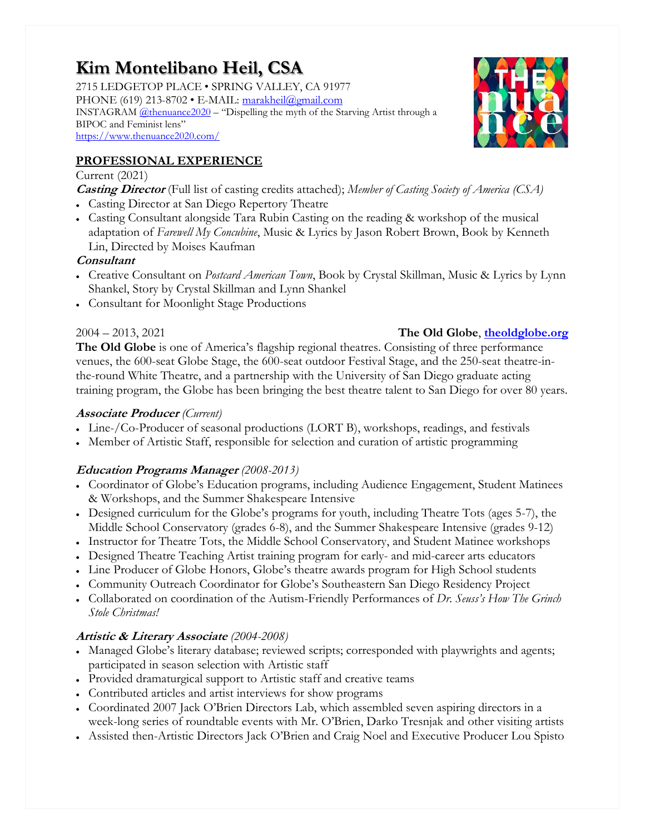# **Kim Montelibano Heil, CSA**

2715 LEDGETOP PLACE • SPRING VALLEY, CA 91977 PHONE (619) 213-8702 • E-MAIL: [marakheil@gmail.com](mailto:marakheil@gmail.com) INSTAGRAM [@thenuance2020](https://www.instagram.com/thenuance2020/) – "Dispelling the myth of the Starving Artist through a BIPOC and Feminist lens" <https://www.thenuance2020.com/>



## **PROFESSIONAL EXPERIENCE**

### Current (2021)

**Casting Director** (Full list of casting credits attached); *Member of Casting Society of America (CSA)*

- Casting Director at San Diego Repertory Theatre
- Casting Consultant alongside Tara Rubin Casting on the reading & workshop of the musical adaptation of *Farewell My Concubine*, Music & Lyrics by Jason Robert Brown, Book by Kenneth Lin, Directed by Moises Kaufman

## **Consultant**

- Creative Consultant on *Postcard American Town*, Book by Crystal Skillman, Music & Lyrics by Lynn Shankel, Story by Crystal Skillman and Lynn Shankel
- Consultant for Moonlight Stage Productions

## 2004 – 2013, 2021 **The Old Globe**, **[theoldglobe.org](http://www.theoldglobe.org/)**

**The Old Globe** is one of America's flagship regional theatres. Consisting of three performance venues, the 600-seat Globe Stage, the 600-seat outdoor Festival Stage, and the 250-seat theatre-inthe-round White Theatre, and a partnership with the University of San Diego graduate acting training program, the Globe has been bringing the best theatre talent to San Diego for over 80 years.

## **Associate Producer** *(Current)*

- Line-/Co-Producer of seasonal productions (LORT B), workshops, readings, and festivals
- Member of Artistic Staff, responsible for selection and curation of artistic programming

## **Education Programs Manager** *(2008-2013)*

- Coordinator of Globe's Education programs, including Audience Engagement, Student Matinees & Workshops, and the Summer Shakespeare Intensive
- Designed curriculum for the Globe's programs for youth, including Theatre Tots (ages 5-7), the Middle School Conservatory (grades 6-8), and the Summer Shakespeare Intensive (grades 9-12)
- Instructor for Theatre Tots, the Middle School Conservatory, and Student Matinee workshops
- Designed Theatre Teaching Artist training program for early- and mid-career arts educators
- Line Producer of Globe Honors, Globe's theatre awards program for High School students
- Community Outreach Coordinator for Globe's Southeastern San Diego Residency Project
- Collaborated on coordination of the Autism-Friendly Performances of *Dr. Seuss's How The Grinch Stole Christmas!*

## **Artistic & Literary Associate** *(2004-2008)*

- Managed Globe's literary database; reviewed scripts; corresponded with playwrights and agents; participated in season selection with Artistic staff
- Provided dramaturgical support to Artistic staff and creative teams
- Contributed articles and artist interviews for show programs
- Coordinated 2007 Jack O'Brien Directors Lab, which assembled seven aspiring directors in a week-long series of roundtable events with Mr. O'Brien, Darko Tresnjak and other visiting artists
- Assisted then-Artistic Directors Jack O'Brien and Craig Noel and Executive Producer Lou Spisto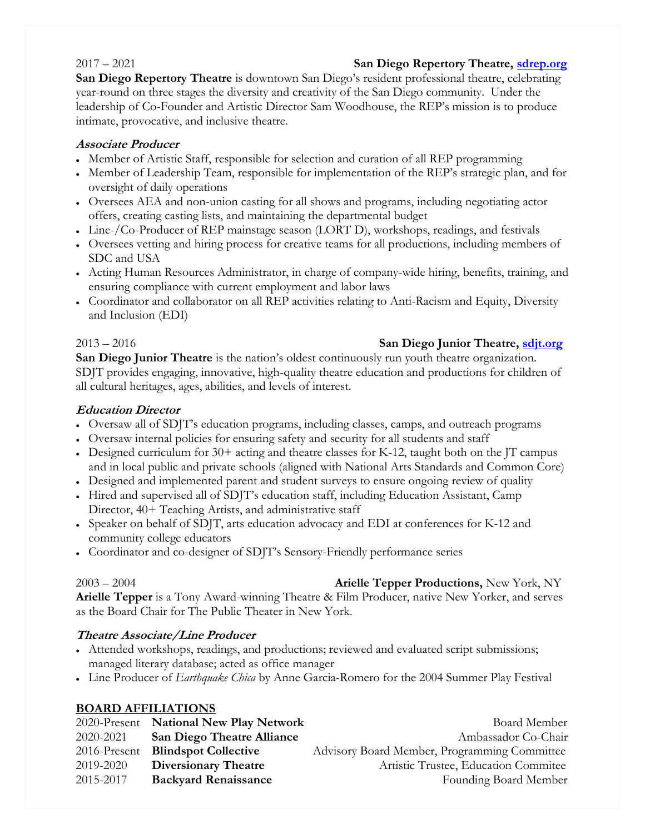## 2017 – 2021 **San Diego Repertory Theatre, [sdrep.org](http://www.sdrep.org/)**

**San Diego Repertory Theatre** is downtown San Diego's resident professional theatre, celebrating year-round on three stages the diversity and creativity of the San Diego community. Under the leadership of Co-Founder and Artistic Director Sam Woodhouse, the REP's mission is to produce intimate, provocative, and inclusive theatre.

## **Associate Producer**

- Member of Artistic Staff, responsible for selection and curation of all REP programming
- Member of Leadership Team, responsible for implementation of the REP's strategic plan, and for oversight of daily operations
- Oversees AEA and non-union casting for all shows and programs, including negotiating actor offers, creating casting lists, and maintaining the departmental budget
- Line-/Co-Producer of REP mainstage season (LORT D), workshops, readings, and festivals
- Oversees vetting and hiring process for creative teams for all productions, including members of SDC and USA
- Acting Human Resources Administrator, in charge of company-wide hiring, benefits, training, and ensuring compliance with current employment and labor laws
- Coordinator and collaborator on all REP activities relating to Anti-Racism and Equity, Diversity and Inclusion (EDI)

**San Diego Junior Theatre** is the nation's oldest continuously run youth theatre organization. SDJT provides engaging, innovative, high-quality theatre education and productions for children of all cultural heritages, ages, abilities, and levels of interest.

## **Education Director**

- Oversaw all of SDJT's education programs, including classes, camps, and outreach programs
- Oversaw internal policies for ensuring safety and security for all students and staff
- Designed curriculum for  $30+$  acting and theatre classes for K-12, taught both on the JT campus and in local public and private schools (aligned with National Arts Standards and Common Core)
- Designed and implemented parent and student surveys to ensure ongoing review of quality
- Hired and supervised all of SDJT's education staff, including Education Assistant, Camp Director, 40+ Teaching Artists, and administrative staff
- Speaker on behalf of SDJT, arts education advocacy and EDI at conferences for K-12 and community college educators
- Coordinator and co-designer of SDJT's Sensory-Friendly performance series

## 2003 – 2004 **Arielle Tepper Productions,** New York, NY

**Arielle Tepper** is a Tony Award-winning Theatre & Film Producer, native New Yorker, and serves as the Board Chair for The Public Theater in New York.

## **Theatre Associate/Line Producer**

- Attended workshops, readings, and productions; reviewed and evaluated script submissions; managed literary database; acted as office manager
- Line Producer of *Earthquake Chica* by Anne Garcia-Romero for the 2004 Summer Play Festival

## **BOARD AFFILIATIONS**

| 2020-Present | <b>National New Play Network</b>  | Board Member                                 |
|--------------|-----------------------------------|----------------------------------------------|
| 2020-2021    | <b>San Diego Theatre Alliance</b> | Ambassador Co-Chair                          |
| 2016-Present | <b>Blindspot Collective</b>       | Advisory Board Member, Programming Committee |
| 2019-2020    | <b>Diversionary Theatre</b>       | Artistic Trustee, Education Commitee         |
| 2015-2017    | <b>Backyard Renaissance</b>       | Founding Board Member                        |

## 2013 – 2016 **San Diego Junior Theatre, [sdjt.org](http://www.sdjt.org/)**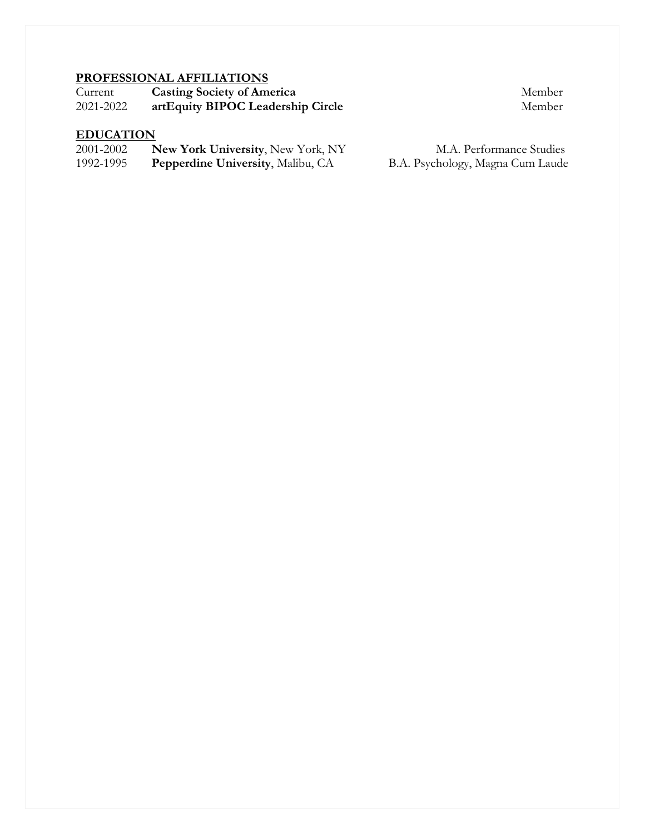## **PROFESSIONAL AFFILIATIONS**

| Current   | <b>Casting Society of America</b> | Member |
|-----------|-----------------------------------|--------|
| 2021-2022 | artEquity BIPOC Leadership Circle | Member |

## **EDUCATION**

| 2001-2002 | <b>New York University, New York, NY</b> |
|-----------|------------------------------------------|
| 1992-1995 | Pepperdine University, Malibu, CA        |

M.A. Performance Studies 1995. B.A. Psychology, Magna Cum Laude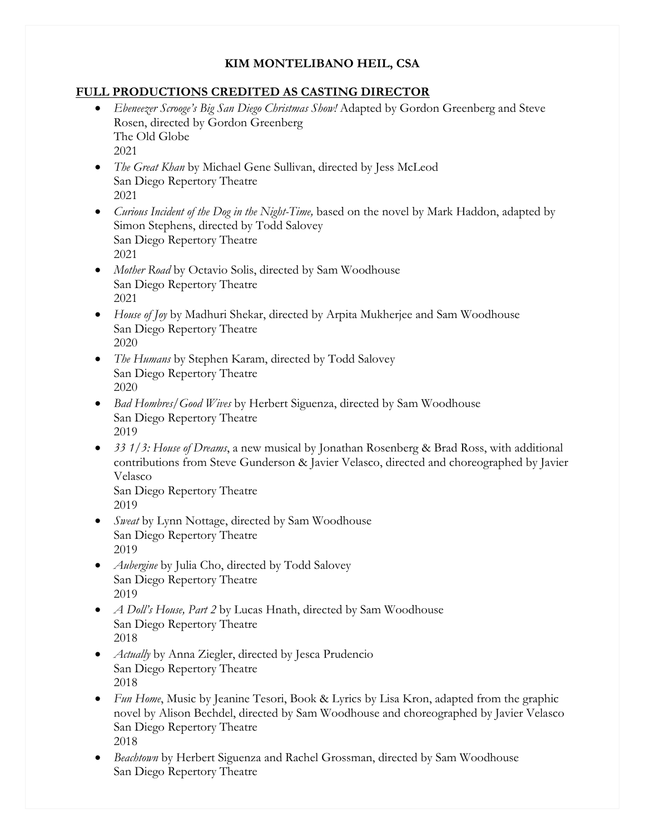## **KIM MONTELIBANO HEIL, CSA**

## **FULL PRODUCTIONS CREDITED AS CASTING DIRECTOR**

- *Ebeneezer Scrooge's Big San Diego Christmas Show!* Adapted by Gordon Greenberg and Steve Rosen, directed by Gordon Greenberg The Old Globe 2021
- *The Great Khan* by Michael Gene Sullivan, directed by Jess McLeod San Diego Repertory Theatre 2021
- *Curious Incident of the Dog in the Night-Time,* based on the novel by Mark Haddon, adapted by Simon Stephens, directed by Todd Salovey San Diego Repertory Theatre 2021
- *Mother Road* by Octavio Solis, directed by Sam Woodhouse San Diego Repertory Theatre 2021
- *House of Joy* by Madhuri Shekar, directed by Arpita Mukherjee and Sam Woodhouse San Diego Repertory Theatre 2020
- *The Humans* by Stephen Karam, directed by Todd Salovey San Diego Repertory Theatre 2020
- *Bad Hombres/Good Wives* by Herbert Siguenza, directed by Sam Woodhouse San Diego Repertory Theatre 2019
- *33 1/3: House of Dreams*, a new musical by Jonathan Rosenberg & Brad Ross, with additional contributions from Steve Gunderson & Javier Velasco, directed and choreographed by Javier Velasco

San Diego Repertory Theatre 2019

- *Sweat* by Lynn Nottage, directed by Sam Woodhouse San Diego Repertory Theatre 2019
- *Aubergine* by Julia Cho, directed by Todd Salovey San Diego Repertory Theatre 2019
- *A Doll's House, Part 2* by Lucas Hnath, directed by Sam Woodhouse San Diego Repertory Theatre 2018
- *Actually* by Anna Ziegler, directed by Jesca Prudencio San Diego Repertory Theatre 2018
- *Fun Home*, Music by Jeanine Tesori, Book & Lyrics by Lisa Kron, adapted from the graphic novel by Alison Bechdel, directed by Sam Woodhouse and choreographed by Javier Velasco San Diego Repertory Theatre 2018
- *Beachtown* by Herbert Siguenza and Rachel Grossman, directed by Sam Woodhouse San Diego Repertory Theatre